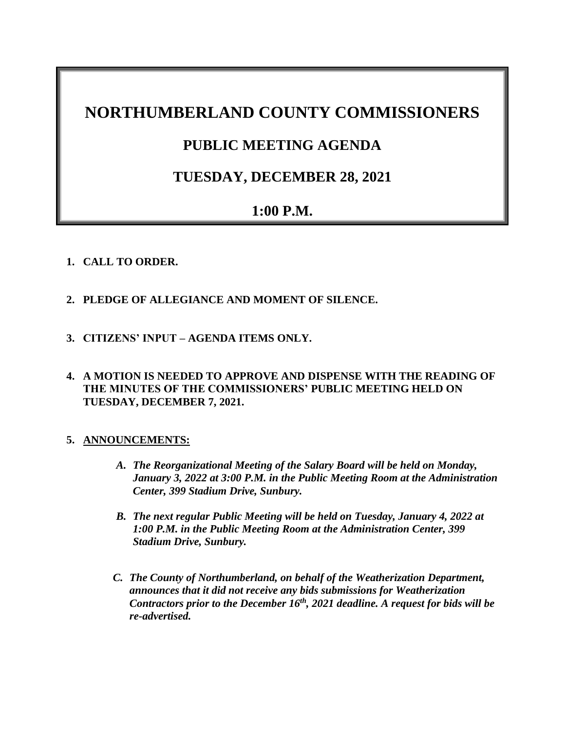# **NORTHUMBERLAND COUNTY COMMISSIONERS**

# **PUBLIC MEETING AGENDA**

# **TUESDAY, DECEMBER 28, 2021**

# **1:00 P.M.**

## **1. CALL TO ORDER.**

- **2. PLEDGE OF ALLEGIANCE AND MOMENT OF SILENCE.**
- **3. CITIZENS' INPUT – AGENDA ITEMS ONLY.**
- **4. A MOTION IS NEEDED TO APPROVE AND DISPENSE WITH THE READING OF THE MINUTES OF THE COMMISSIONERS' PUBLIC MEETING HELD ON TUESDAY, DECEMBER 7, 2021.**

## **5. ANNOUNCEMENTS:**

- *A. The Reorganizational Meeting of the Salary Board will be held on Monday, January 3, 2022 at 3:00 P.M. in the Public Meeting Room at the Administration Center, 399 Stadium Drive, Sunbury.*
- *B. The next regular Public Meeting will be held on Tuesday, January 4, 2022 at 1:00 P.M. in the Public Meeting Room at the Administration Center, 399 Stadium Drive, Sunbury.*
- *C. The County of Northumberland, on behalf of the Weatherization Department, announces that it did not receive any bids submissions for Weatherization Contractors prior to the December 16th, 2021 deadline. A request for bids will be re-advertised.*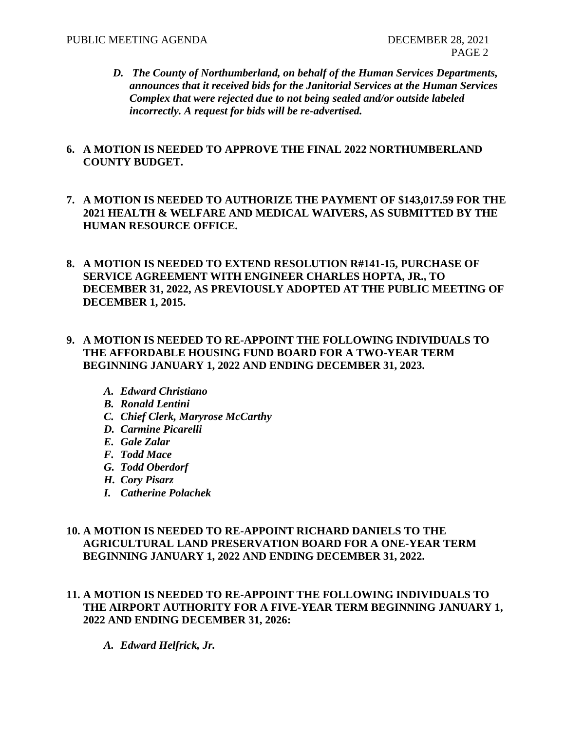*D. The County of Northumberland, on behalf of the Human Services Departments, announces that it received bids for the Janitorial Services at the Human Services Complex that were rejected due to not being sealed and/or outside labeled incorrectly. A request for bids will be re-advertised.*

#### **6. A MOTION IS NEEDED TO APPROVE THE FINAL 2022 NORTHUMBERLAND COUNTY BUDGET.**

- **7. A MOTION IS NEEDED TO AUTHORIZE THE PAYMENT OF \$143,017.59 FOR THE 2021 HEALTH & WELFARE AND MEDICAL WAIVERS, AS SUBMITTED BY THE HUMAN RESOURCE OFFICE.**
- **8. A MOTION IS NEEDED TO EXTEND RESOLUTION R#141-15, PURCHASE OF SERVICE AGREEMENT WITH ENGINEER CHARLES HOPTA, JR., TO DECEMBER 31, 2022, AS PREVIOUSLY ADOPTED AT THE PUBLIC MEETING OF DECEMBER 1, 2015.**
- **9. A MOTION IS NEEDED TO RE-APPOINT THE FOLLOWING INDIVIDUALS TO THE AFFORDABLE HOUSING FUND BOARD FOR A TWO-YEAR TERM BEGINNING JANUARY 1, 2022 AND ENDING DECEMBER 31, 2023.**
	- *A. Edward Christiano*
	- *B. Ronald Lentini*
	- *C. Chief Clerk, Maryrose McCarthy*
	- *D. Carmine Picarelli*
	- *E. Gale Zalar*
	- *F. Todd Mace*
	- *G. Todd Oberdorf*
	- *H. Cory Pisarz*
	- *I. Catherine Polachek*

#### **10. A MOTION IS NEEDED TO RE-APPOINT RICHARD DANIELS TO THE AGRICULTURAL LAND PRESERVATION BOARD FOR A ONE-YEAR TERM BEGINNING JANUARY 1, 2022 AND ENDING DECEMBER 31, 2022.**

- **11. A MOTION IS NEEDED TO RE-APPOINT THE FOLLOWING INDIVIDUALS TO THE AIRPORT AUTHORITY FOR A FIVE-YEAR TERM BEGINNING JANUARY 1, 2022 AND ENDING DECEMBER 31, 2026:**
	- *A. Edward Helfrick, Jr.*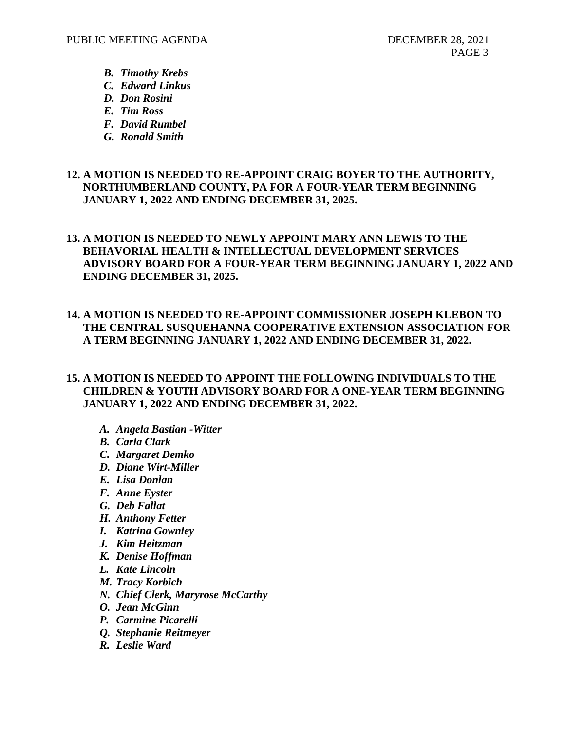- *B. Timothy Krebs*
- *C. Edward Linkus*
- *D. Don Rosini*
- *E. Tim Ross*
- *F. David Rumbel*
- *G. Ronald Smith*

#### **12. A MOTION IS NEEDED TO RE-APPOINT CRAIG BOYER TO THE AUTHORITY, NORTHUMBERLAND COUNTY, PA FOR A FOUR-YEAR TERM BEGINNING JANUARY 1, 2022 AND ENDING DECEMBER 31, 2025.**

# **13. A MOTION IS NEEDED TO NEWLY APPOINT MARY ANN LEWIS TO THE BEHAVORIAL HEALTH & INTELLECTUAL DEVELOPMENT SERVICES ADVISORY BOARD FOR A FOUR-YEAR TERM BEGINNING JANUARY 1, 2022 AND ENDING DECEMBER 31, 2025.**

## **14. A MOTION IS NEEDED TO RE-APPOINT COMMISSIONER JOSEPH KLEBON TO THE CENTRAL SUSQUEHANNA COOPERATIVE EXTENSION ASSOCIATION FOR A TERM BEGINNING JANUARY 1, 2022 AND ENDING DECEMBER 31, 2022.**

#### **15. A MOTION IS NEEDED TO APPOINT THE FOLLOWING INDIVIDUALS TO THE CHILDREN & YOUTH ADVISORY BOARD FOR A ONE-YEAR TERM BEGINNING JANUARY 1, 2022 AND ENDING DECEMBER 31, 2022.**

- *A. Angela Bastian -Witter*
- *B. Carla Clark*
- *C. Margaret Demko*
- *D. Diane Wirt-Miller*
- *E. Lisa Donlan*
- *F. Anne Eyster*
- *G. Deb Fallat*
- *H. Anthony Fetter*
- *I. Katrina Gownley*
- *J. Kim Heitzman*
- *K. Denise Hoffman*
- *L. Kate Lincoln*
- *M. Tracy Korbich*
- *N. Chief Clerk, Maryrose McCarthy*
- *O. Jean McGinn*
- *P. Carmine Picarelli*
- *Q. Stephanie Reitmeyer*
- *R. Leslie Ward*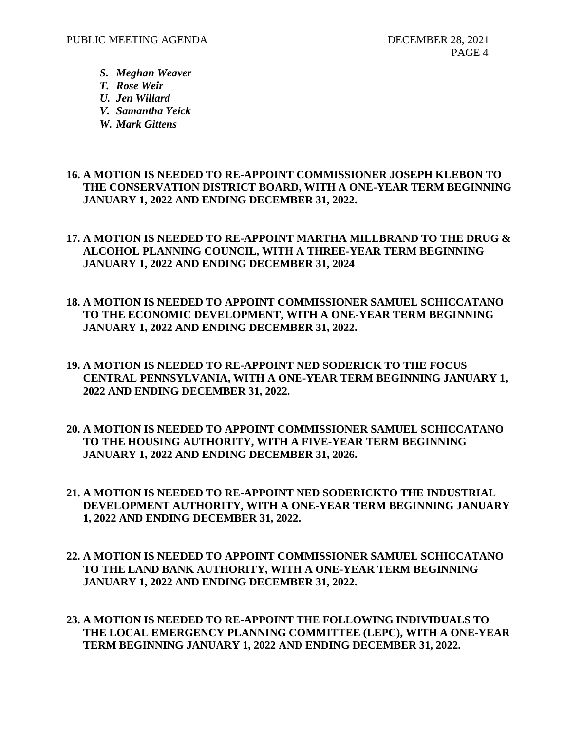- *S. Meghan Weaver*
- *T. Rose Weir*
- *U. Jen Willard*
- *V. Samantha Yeick*
- *W. Mark Gittens*

#### **16. A MOTION IS NEEDED TO RE-APPOINT COMMISSIONER JOSEPH KLEBON TO THE CONSERVATION DISTRICT BOARD, WITH A ONE-YEAR TERM BEGINNING JANUARY 1, 2022 AND ENDING DECEMBER 31, 2022.**

## **17. A MOTION IS NEEDED TO RE-APPOINT MARTHA MILLBRAND TO THE DRUG & ALCOHOL PLANNING COUNCIL, WITH A THREE-YEAR TERM BEGINNING JANUARY 1, 2022 AND ENDING DECEMBER 31, 2024**

- **18. A MOTION IS NEEDED TO APPOINT COMMISSIONER SAMUEL SCHICCATANO TO THE ECONOMIC DEVELOPMENT, WITH A ONE-YEAR TERM BEGINNING JANUARY 1, 2022 AND ENDING DECEMBER 31, 2022.**
- **19. A MOTION IS NEEDED TO RE-APPOINT NED SODERICK TO THE FOCUS CENTRAL PENNSYLVANIA, WITH A ONE-YEAR TERM BEGINNING JANUARY 1, 2022 AND ENDING DECEMBER 31, 2022.**
- **20. A MOTION IS NEEDED TO APPOINT COMMISSIONER SAMUEL SCHICCATANO TO THE HOUSING AUTHORITY, WITH A FIVE-YEAR TERM BEGINNING JANUARY 1, 2022 AND ENDING DECEMBER 31, 2026.**
- **21. A MOTION IS NEEDED TO RE-APPOINT NED SODERICKTO THE INDUSTRIAL DEVELOPMENT AUTHORITY, WITH A ONE-YEAR TERM BEGINNING JANUARY 1, 2022 AND ENDING DECEMBER 31, 2022.**
- **22. A MOTION IS NEEDED TO APPOINT COMMISSIONER SAMUEL SCHICCATANO TO THE LAND BANK AUTHORITY, WITH A ONE-YEAR TERM BEGINNING JANUARY 1, 2022 AND ENDING DECEMBER 31, 2022.**
- **23. A MOTION IS NEEDED TO RE-APPOINT THE FOLLOWING INDIVIDUALS TO THE LOCAL EMERGENCY PLANNING COMMITTEE (LEPC), WITH A ONE-YEAR TERM BEGINNING JANUARY 1, 2022 AND ENDING DECEMBER 31, 2022.**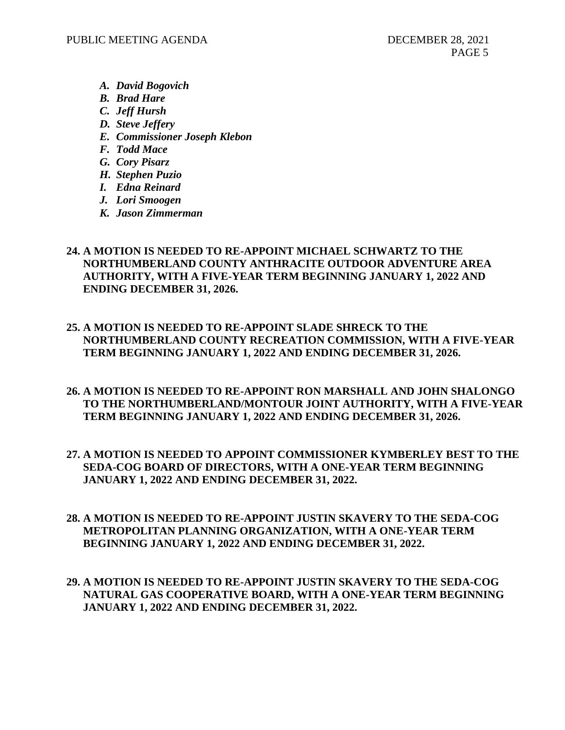- *A. David Bogovich*
- *B. Brad Hare*
- *C. Jeff Hursh*
- *D. Steve Jeffery*
- *E. Commissioner Joseph Klebon*
- *F. Todd Mace*
- *G. Cory Pisarz*
- *H. Stephen Puzio*
- *I. Edna Reinard*
- *J. Lori Smoogen*
- *K. Jason Zimmerman*

## **24. A MOTION IS NEEDED TO RE-APPOINT MICHAEL SCHWARTZ TO THE NORTHUMBERLAND COUNTY ANTHRACITE OUTDOOR ADVENTURE AREA AUTHORITY, WITH A FIVE-YEAR TERM BEGINNING JANUARY 1, 2022 AND ENDING DECEMBER 31, 2026.**

- **25. A MOTION IS NEEDED TO RE-APPOINT SLADE SHRECK TO THE NORTHUMBERLAND COUNTY RECREATION COMMISSION, WITH A FIVE-YEAR TERM BEGINNING JANUARY 1, 2022 AND ENDING DECEMBER 31, 2026.**
- **26. A MOTION IS NEEDED TO RE-APPOINT RON MARSHALL AND JOHN SHALONGO TO THE NORTHUMBERLAND/MONTOUR JOINT AUTHORITY, WITH A FIVE-YEAR TERM BEGINNING JANUARY 1, 2022 AND ENDING DECEMBER 31, 2026.**
- **27. A MOTION IS NEEDED TO APPOINT COMMISSIONER KYMBERLEY BEST TO THE SEDA-COG BOARD OF DIRECTORS, WITH A ONE-YEAR TERM BEGINNING JANUARY 1, 2022 AND ENDING DECEMBER 31, 2022.**
- **28. A MOTION IS NEEDED TO RE-APPOINT JUSTIN SKAVERY TO THE SEDA-COG METROPOLITAN PLANNING ORGANIZATION, WITH A ONE-YEAR TERM BEGINNING JANUARY 1, 2022 AND ENDING DECEMBER 31, 2022.**
- **29. A MOTION IS NEEDED TO RE-APPOINT JUSTIN SKAVERY TO THE SEDA-COG NATURAL GAS COOPERATIVE BOARD, WITH A ONE-YEAR TERM BEGINNING JANUARY 1, 2022 AND ENDING DECEMBER 31, 2022.**